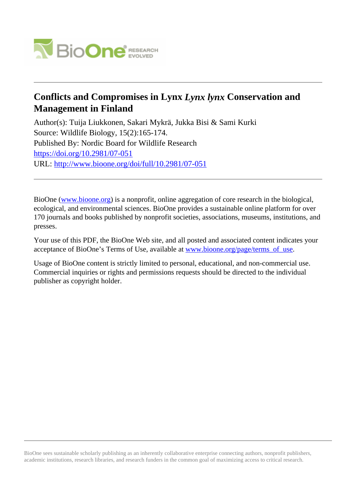

# **Conflicts and Compromises in Lynx** *Lynx lynx* **Conservation and Management in Finland**

Author(s): Tuija Liukkonen, Sakari Mykrä, Jukka Bisi & Sami Kurki Source: Wildlife Biology, 15(2):165-174. Published By: Nordic Board for Wildlife Research <https://doi.org/10.2981/07-051> URL: <http://www.bioone.org/doi/full/10.2981/07-051>

BioOne [\(www.bioone.org\)](http://www.bioone.org) is a nonprofit, online aggregation of core research in the biological, ecological, and environmental sciences. BioOne provides a sustainable online platform for over 170 journals and books published by nonprofit societies, associations, museums, institutions, and presses.

Your use of this PDF, the BioOne Web site, and all posted and associated content indicates your acceptance of BioOne's Terms of Use, available at [www.bioone.org/page/terms\\_of\\_use.](http://www.bioone.org/page/terms_of_use)

Usage of BioOne content is strictly limited to personal, educational, and non-commercial use. Commercial inquiries or rights and permissions requests should be directed to the individual publisher as copyright holder.

BioOne sees sustainable scholarly publishing as an inherently collaborative enterprise connecting authors, nonprofit publishers, academic institutions, research libraries, and research funders in the common goal of maximizing access to critical research.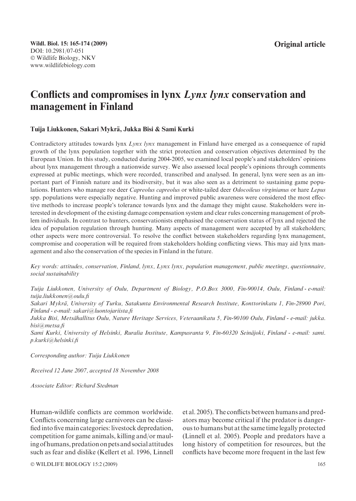# Conflicts and compromises in lynx Lynx lynx conservation and management in Finland

## Tuija Liukkonen, Sakari Mykrä, Jukka Bisi & Sami Kurki

Contradictory attitudes towards lynx Lynx lynx management in Finland have emerged as a consequence of rapid growth of the lynx population together with the strict protection and conservation objectives determined by the European Union. In this study, conducted during 2004-2005, we examined local people's and stakeholders' opinions about lynx management through a nationwide survey. We also assessed local people's opinions through comments expressed at public meetings, which were recorded, transcribed and analysed. In general, lynx were seen as an important part of Finnish nature and its biodiversity, but it was also seen as a detriment to sustaining game populations. Hunters who manage roe deer Capreolus capreolus or white-tailed deer Odocoileus virginianus or hare Lepus spp. populations were especially negative. Hunting and improved public awareness were considered the most effective methods to increase people's tolerance towards lynx and the damage they might cause. Stakeholders were interested in development of the existing damage compensation system and clear rules concerning management of problem individuals. In contrast to hunters, conservationists emphasised the conservation status of lynx and rejected the idea of population regulation through hunting. Many aspects of management were accepted by all stakeholders; other aspects were more controversial. To resolve the conflict between stakeholders regarding lynx management, compromise and cooperation will be required from stakeholders holding conflicting views. This may aid lynx management and also the conservation of the species in Finland in the future.

Key words: attitudes, conservation, Finland, lynx, Lynx lynx, population management, public meetings, questionnaire, social sustainability

Tuija Liukkonen, University of Oulu, Department of Biology, P.O.Box 3000, Fin-90014, Oulu, Finland - e-mail: tuija.liukkonen@oulu.fi

Sakari Mykrä, University of Turku, Satakunta Environmental Research Institute, Konttorinkatu 1, Fin-28900 Pori, Finland - e-mail: sakari@luontojariista.fi

Jukka Bisi, Metsähallitus Oulu, Nature Heritage Services, Veteraanikatu 5, Fin-90100 Oulu, Finland - e-mail: jukka. bisi@metsa.fi

Sami Kurki, University of Helsinki, Ruralia Institute, Kampusranta 9, Fin-60320 Seinäjoki, Finland - e-mail: sami. p.kurki@helsinki.fi

Corresponding author: Tuija Liukkonen

Received 12 June 2007, accepted 18 November 2008

Associate Editor: Richard Stedman

Human-wildlife conflicts are common worldwide. Conflicts concerning large carnivores can be classified into five main categories: livestock depredation, competition for game animals, killing and/or mauling of humans, predation on pets and social attitudes such as fear and dislike (Kellert et al. 1996, Linnell et al. 2005). The conflicts between humans and predators may become critical if the predator is dangerous to humans but at the same time legally protected (Linnell et al. 2005). People and predators have a long history of competition for resources, but the conflicts have become more frequent in the last few

© WILDLIFE BIOLOGY 15:2 (2009) 165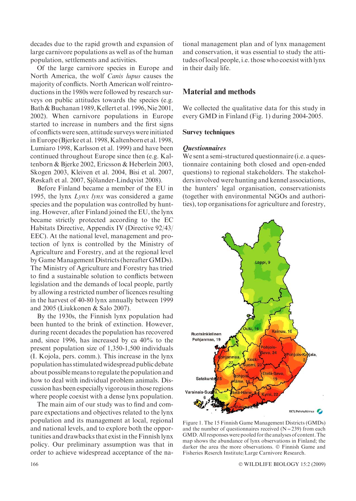decades due to the rapid growth and expansion of large carnivore populations as well as of the human population, settlements and activities.

Of the large carnivore species in Europe and North America, the wolf Canis lupus causes the majority of conflicts. North American wolf reintroductions in the 1980s were followed by research surveys on public attitudes towards the species (e.g. Bath & Buchanan 1989, Kellert et al. 1996, Nie 2001, 2002). When carnivore populations in Europe started to increase in numbers and the first signs of conflicts were seen, attitude surveys were initiated in Europe (Bjerke et al. 1998, Kaltenborn et al. 1998, Lumiaro 1998, Karlsson et al. 1999) and have been continued throughout Europe since then (e.g. Kaltenborn & Bjerke 2002, Ericsson & Heberlein 2003, Skogen 2003, Kleiven et al. 2004, Bisi et al. 2007, Røskaft et al. 2007, Sjölander-Lindqvist 2008).

Before Finland became a member of the EU in 1995, the lynx Lynx lynx was considered a game species and the population was controlled by hunting. However, after Finland joined the EU, the lynx became strictly protected according to the EC Habitats Directive, Appendix IV (Directive 92/43/ EEC). At the national level, management and protection of lynx is controlled by the Ministry of Agriculture and Forestry, and at the regional level by Game Management Districts (hereafter GMDs). The Ministry of Agriculture and Forestry has tried to find a sustainable solution to conflicts between legislation and the demands of local people, partly by allowing a restricted number of licences resulting in the harvest of 40-80 lynx annually between 1999 and 2005 (Liukkonen & Salo 2007).

By the 1930s, the Finnish lynx population had been hunted to the brink of extinction. However, during recent decades the population has recovered and, since 1996, has increased by ca 40% to the present population size of 1,350-1,500 individuals (I. Kojola, pers. comm.). This increase in the lynx population has stimulated widespread public debate about possiblemeans to regulate the population and how to deal with individual problem animals. Discussion has been especially vigorousin those regions where people coexist with a dense lynx population.

The main aim of our study was to find and compare expectations and objectives related to the lynx population and its management at local, regional and national levels, and to explore both the opportunities and drawbacks that exist in the Finnish lynx policy. Our preliminary assumption was that in order to achieve widespread acceptance of the national management plan and of lynx management and conservation, it was essential to study the attitudes oflocal people, i.e. those who coexist with lynx in their daily life.

# Material and methods

We collected the qualitative data for this study in every GMD in Finland (Fig. 1) during 2004-2005.

### Survey techniques

**E**<sup>t</sup> exercis manners tionnaire containing both closed and open-ended questions) to regional stakeholders. The stakeholders involved were hunting and kennel associations, the hunters' legal organisation, conservationists (together with environmental NGOs and authorities), top organisations for agriculture and forestry,



Figure 1. The 15 Finnish Game Management Districts (GMDs) and the number of questionnaires received  $(N=239)$  from each GMD. All responses were pooled for the analyses of content. The map shows the abundance of lynx observations in Finland; the darker the area the more observations. © Finnish Game and Fisheries Reserch Institute/Large Carnivore Research.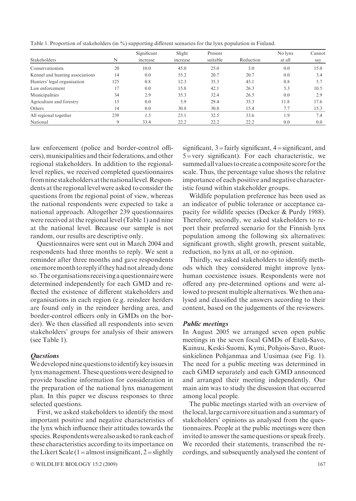Table 1. Proportion of stakeholders (in %) supporting different scenarios for the lynx population in Finland.

|                                 |                | Significant | Slight   | Present  |           | No lynx | Cannot |
|---------------------------------|----------------|-------------|----------|----------|-----------|---------|--------|
| Stakeholders                    | N              | increase    | increase | suitable | Reduction | at all  | say    |
| Conservationists                | 20             | 10.0        | 45.0     | 25.0     | 5.0       | 0.0     | 15.0   |
| Kennel and hunting associations | 14             | 0.0         | 55.2     | 20.7     | 20.7      | 0.0     | 3.4    |
| Hunters' legal organisation     | 125            | 0.8         | 12.3     | 35.3     | 45.1      | 0.8     | 5.7    |
| Law enforcement                 | 17             | 0.0         | 15.8     | 42.1     | 26.3      | 5.3     | 10.5   |
| Municipalities                  | 34             | 2.9         | 35.3     | 32.4     | 26.5      | 0.0     | 2.9    |
| Agriculture and forestry        | 15             | 0.0         | 5.9      | 29.4     | 35.3      | 11.8    | 17.6   |
| Others                          | $\overline{4}$ | 0.0         | 30.8     | 30.8     | 15.4      | 77      | 15.3   |
| All regional together           | 239            | 1.5         | 23.1     | 32.5     | 33.6      | i.9     | 7.4    |
| National                        | 9              | 33.4        | 22.2     | 22.2     | 22.2      | 0.0     | 0.0    |

law enforcement (police and border-control officers),municipalities and their federations, and other regional stakeholders. In addition to the regionallevel replies, we received completed questionnaires fromnine stakeholders at thenationallevel.Respondents at the regional level were asked to consider the questions from the regional point of view, whereas the national respondents were expected to take a national approach. Altogether 239 questionnaires were received at the regional level (Table 1) and nine at the national level. Because our sample is not random, our results are descriptive only.

Questionnaires were sent out in March 2004 and respondents had three months to reply. We sent a reminder after three months and gave respondents onemoremonth to replyif theyhad not already done so.The organisations receiving a questionnaire were determined independently for each GMD and reflected the existence of different stakeholders and organisations in each region (e.g. reindeer herders are found only in the reindeer herding area, and border-control officers only in GMDs on the border). We then classified all respondents into seven stakeholders' groups for analysis of their answers (see Table 1).

Questions We developed nine questions toidentify keyissuesin lynxmanagement. These questions were designed to provide baseline information for consideration in the preparation of the national lynx management plan. In this paper we discuss responses to three selected questions.

First, we asked stakeholders to identify the most important positive and negative characteristics of the lynx which influence their attitudes towards the species.Respondentswere also asked to rank each of these characteristics according to its importance on the Likert Scale (1 = almost insignificant, 2 = slightly

 $\odot$  WILDLIFE BIOLOGY 15:2 (2009) 167

significant,  $3 =$ fairly significant,  $4 =$ significant, and 5=very significant). For each characteristic, we summed all values to create a composite score for the scale. Thus, the percentage value shows the relative importance of each positive and negative characteristic found within stakeholder groups.

Wildlife population preference has been used as an indicator of public tolerance or acceptance capacity for wildlife species (Decker & Purdy 1988). Therefore, secondly, we asked stakeholders to report their preferred scenario for the Finnish lynx population among the following six alternatives: significant growth, slight growth, present suitable, reduction, no lynx at all, or no opinion.

Thirdly, we asked stakeholders to identify methods which they considered might improve lynxhuman coexistence issues. Respondents were not offered any pre-determined options and were allowed to present multiple alternatives. We then analysed and classified the answers according to their content, based on the judgements of the reviewers.

In August 2005 we arranged seven open public meetings in the seven focal GMDs of Etelä-Savo, Kainuu, Keski-Suomi, Kymi, Pohjois-Savo, Ruotsinkielinen Pohjanmaa and Uusimaa (see Fig. 1). The need for a public meeting was determined in each GMD separately and each GMD announced and arranged their meeting independently. Our main aim was to study the discussion that occurred among local people.

The public meetings started with an overview of thelocal,large carnivore situation and a summary of stakeholders' opinions as analysed from the questionnaires. People at the public meetings were then invited to answer the same questions or speak freely. We recorded their statements, transcribed the recordings, and subsequently analysed the content of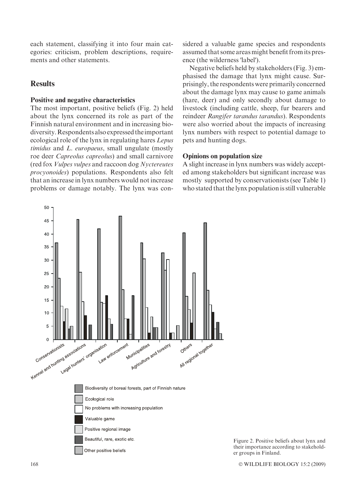each statement, classifying it into four main categories: criticism, problem descriptions, requirements and other statements.

# **Results**

### Positive and negative characteristics

The most important, positive beliefs (Fig. 2) held about the lynx concerned its role as part of the Finnish natural environment and in increasing biodiversity.Respondents also expressed theimportant ecological role of the lynx in regulating hares Lepus timidus and L. europaeus, small ungulate (mostly roe deer Capreolus capreolus) and small carnivore (red fox Vulpes vulpes and raccoon dog Nyctereutes procyonoides) populations. Respondents also felt that an increase in lynx numbers would not increase problems or damage notably. The lynx was considered a valuable game species and respondents assumed that some areas might benefit from its presence (the wilderness 'label').

Negative beliefs held by stakeholders (Fig. 3) emphasised the damage that lynx might cause. Surprisingly, the respondents were primarily concerned about the damage lynx may cause to game animals (hare, deer) and only secondly about damage to livestock (including cattle, sheep, fur bearers and reindeer Rangifer tarandus tarandus). Respondents were also worried about the impacts of increasing lynx numbers with respect to potential damage to pets and hunting dogs.

## Opinions on population size

A slight increase in lynx numbers was widely accepted among stakeholders but significant increase was mostly supported by conservationists (see Table 1) who stated that the lynx population is still vulnerable



Figure 2. Positive beliefs about lynx and their importance according to stakeholder groups in Finland.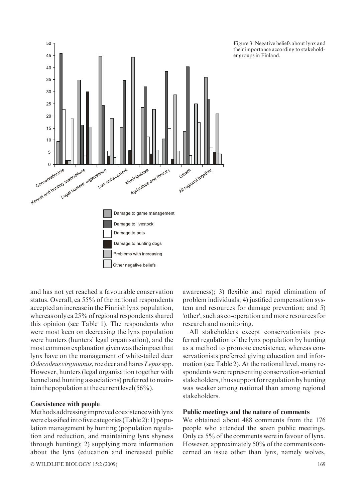

Figure 3. Negative beliefs about lynx and their importance according to stakeholder groups in Finland.

and has not yet reached a favourable conservation status. Overall, ca 55% of the national respondents accepted an increase in the Finnish lynx population, whereas only ca 25% of regional respondents shared this opinion (see Table 1). The respondents who were most keen on decreasing the lynx population were hunters (hunters' legal organisation), and the most commonexplanationgivenwas theimpact that lynx have on the management of white-tailed deer Odocoileus virginianus, roe deer and hares Lepus spp. However, hunters (legal organisation together with kennel and hunting associations) preferred to maintain the population at the current level  $(56\%)$ .

#### Coexistence with people

Methods addressing improved coexistence with lynx were classifiedinto five categories (Table 2): 1) population management by hunting (population regulation and reduction, and maintaining lynx shyness through hunting); 2) supplying more information about the lynx (education and increased public

 $\odot$  WILDLIFE BIOLOGY 15:2 (2009) 169

awareness); 3) flexible and rapid elimination of problem individuals; 4) justified compensation system and resources for damage prevention; and 5) 'other', such as co-operation and more resources for research and monitoring.

All stakeholders except conservationists preferred regulation of the lynx population by hunting as a method to promote coexistence, whereas conservationists preferred giving education and information (see Table 2). At the national level, many respondents were representing conservation-oriented stakeholders, thus support for regulation by hunting was weaker among national than among regional stakeholders.

#### Public meetings and the nature of comments

We obtained about 488 comments from the 176 people who attended the seven public meetings. Only ca 5% of the comments were in favour of lynx. However, approximately 50% of the comments concerned an issue other than lynx, namely wolves,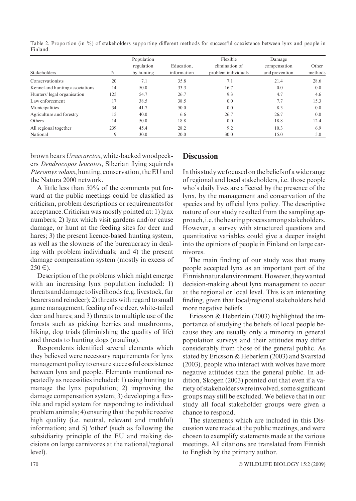Table 2. Proportion (in %) of stakeholders supporting different methods for successful coexistence between lynx and people in Finland.

|                                 |     | Population |             | Flexible            | Damage         |         |
|---------------------------------|-----|------------|-------------|---------------------|----------------|---------|
|                                 |     | regulation | Education.  | elimination of      | compensation   | Other   |
| <b>Stakeholders</b>             | N   | by hunting | information | problem individuals | and prevention | methods |
| Conservationists                | 20  | 7.1        | 35.8        | 7.1                 | 21.4           | 28.6    |
| Kennel and hunting associations | 14  | 50.0       | 33.3        | 16.7                | 0.0            | 0.0     |
| Hunters' legal organisation     | 125 | 54.7       | 26.7        | 9.3                 | 4.7            | 4.6     |
| Law enforcement                 |     | 38.5       | 38.5        | 0.0                 | 7:             | 15.3    |
| Municipalities                  | 34  | 41.7       | 50.0        | 0.0                 | 8.3            | 0.0     |
| Agriculture and forestry        | 15  | 40.0       | 6.6         | 26.7                | 26.7           | 0.0     |
| Others                          | 14  | 50.0       | 18.8        | 0.0                 | 18.8           | 12.4    |
| All regional together           | 239 | 45.4       | 28.2        | 9.2                 | 10.3           | 6.9     |
| National                        |     | 30.0       | 20.0        | 30.0                | 15.0           | 5.0     |

brown bears Ursus arctos, white-backed woodpeckers Dendrocopos leucotos, Siberian flying squirrels Pteromys volans, hunting, conservation, the EU and the Natura 2000 network.

A little less than 50% of the comments put forward at the public meetings could be classified as criticism, problem descriptions or requirements for acceptance.Criticism was mostly pointed at: 1) lynx numbers; 2) lynx which visit gardens and/or cause damage, or hunt at the feeding sites for deer and hares; 3) the present licence-based hunting system, as well as the slowness of the bureaucracy in dealing with problem individuals; and 4) the present damage compensation system (mostly in excess of  $250 \in L$ .

Description of the problems which might emerge with an increasing lynx population included: 1) threats and damage tolivelihoods (e.g. livestock, fur bearers and reindeer); 2) threats with regard to small game management, feeding of roe deer, white-tailed deer and hares; and 3) threats to multiple use of the forests such as picking berries and mushrooms, hiking, dog trials (diminishing the quality of life) and threats to hunting dogs (mauling).

Respondents identified several elements which they believed were necessary requirements for lynx management policy to ensure successful coexistence between lynx and people. Elements mentioned repeatedly as necessities included: 1) using hunting to manage the lynx population; 2) improving the damage compensation system; 3) developing a flexible and rapid system for responding to individual problem animals; 4) ensuring that the public receive high quality (i.e. neutral, relevant and truthful) information; and 5) 'other' (such as following the subsidiarity principle of the EU and making decisions on large carnivores at the national/regional level).

# **Discussion**

In this studywe focused on the beliefs of a wide range of regional and local stakeholders, i.e. those people who's daily lives are affected by the presence of the lynx, by the management and conservation of the species and by official lynx policy. The descriptive nature of our study resulted from the sampling approach,i.e. the hearing process among stakeholders. However, a survey with structured questions and quantitative variables could give a deeper insight into the opinions of people in Finland on large carnivores.

The main finding of our study was that many people accepted lynx as an important part of the Finnishnaturalenvironment.However,theywanted decision-making about lynx management to occur at the regional or local level. This is an interesting finding, given that local/regional stakeholders held more negative beliefs.

Ericsson & Heberlein (2003) highlighted the importance of studying the beliefs of local people because they are usually only a minority in general population surveys and their attitudes may differ considerably from those of the general public. As stated by Ericsson & Heberlein (2003) and Svarstad (2003), people who interact with wolves have more negative attitudes than the general public. In addition, Skogen (2003) pointed out that even if a variety of stakeholders were involved, some significant groups may still be excluded. We believe that in our study all focal stakeholder groups were given a chance to respond.

The statements which are included in this Discussion were made at the public meetings, and were chosen to exemplify statements made at the various meetings. All citations are translated from Finnish to English by the primary author.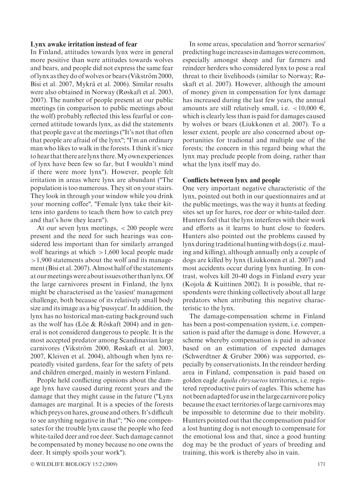#### Lynx awake irritation instead of fear

In Finland, attitudes towards lynx were in general more positive than were attitudes towards wolves and bears, and people did not express the same fear of lynx as they do of wolves or bears (Vikström 2000, Bisi et al. 2007, Mykrä et al. 2006). Similar results were also obtained in Norway (Røskaft et al. 2003, 2007). The number of people present at our public meetings (in comparison to public meetings about the wolf) probably reflected this less fearful or concerned attitude towards lynx, as did the statements that people gave at the meetings (''It's not that often that people are afraid of the lynx"; "I'm an ordinary man who likes to walk in the forests. I think it's nice to hear that there arelynx there.My own experiences of lynx have been few so far, but I wouldn't mind if there were more lynx''). However, people felt irritation in areas where lynx are abundant (''The population is too numerous. They sit on your stairs. They look in through your window while you drink your morning coffee'', ''Female lynx take their kittens into gardens to teach them how to catch prey and that's how they learn'').

At our seven lynx meetings,  $\langle 200 \rangle$  people were present and the need for such hearings was considered less important than for similarly arranged wolf hearings at which  $>1,600$  local people made >1,900 statements about the wolf and its management (Bisi et al. 2007). Almost half of the statements at ourmeetings were aboutissues other thanlynx.Of the large carnivores present in Finland, the lynx might be characterised as the 'easiest' management challenge, both because of its relatively small body size and its image as a big 'pussycat'. In addition, the lynx has no historical man-eating background such as the wolf has (Löe  $& R$ öskaft 2004) and in general is not considered dangerous to people. It is the most accepted predator among Scandinavian large carnivores (Vikström 2000, Røskaft et al. 2003, 2007, Kleiven et al. 2004), although when lynx repeatedly visited gardens, fear for the safety of pets and children emerged, mainly in western Finland.

People held conflicting opinions about the damage lynx have caused during recent years and the damage that they might cause in the future (''Lynx damages are marginal. It is a species of the forests which preys on hares, grouse and others. It's difficult to see anything negative in that''; ''No one compensates for the trouble lynx cause the people who feed white-tailed deer and roe deer. Such damage cannot be compensated by money because no one owns the deer. It simply spoils your work'').

In some areas, speculation and 'horror scenarios' predicting hugeincreasesin damages were common, especially amongst sheep and fur farmers and reindeer herders who considered lynx to pose a real threat to their livelihoods (similar to Norway; Røskaft et al. 2007). However, although the amount of money given in compensation for lynx damage has increased during the last few years, the annual amounts are still relatively small, i.e.  $\lt 10,000 \in$ , which is clearly less than is paid for damages caused by wolves or bears (Liukkonen et al. 2007). To a lesser extent, people are also concerned about opportunities for tradional and multiple use of the forests; the concern in this regard being what the lynx may preclude people from doing, rather than what the lynx itself may do.

#### Conflicts between lynx and people

One very important negative characteristic of the lynx, pointed out both in our questionnaires and at the public meetings, was the way it hunts at feeding sites set up for hares, roe deer or white-tailed deer. Hunters feel that the lynx interferes with their work and efforts as it learns to hunt close to feeders. Hunters also pointed out the problems caused by lynx during traditional hunting with dogs (i.e. mauling and killing), although annually only a couple of dogs are killed by lynx (Liukkonen et al. 2007) and most accidents occur during lynx hunting. In contrast, wolves kill 20-40 dogs in Finland every year (Kojola & Kuittinen 2002). It is possible, that respondents were thinking collectively about all large predators when attributing this negative characteristic to the lynx.

The damage-compensation scheme in Finland has been a post-compensation system, i.e. compensation is paid after the damage is done. However, a scheme whereby compensation is paid in advance based on an estimation of expected damages (Schwerdtner & Gruber 2006) was supported, especially by conservationists. In the reindeer herding area in Finland, compensation is paid based on golden eagle Aquila chrysaetos territories, i.e. registered reproductive pairs of eagles. This scheme has not been adapted for usein thelarge carnivore policy because the exact territories of large carnivores may be impossible to determine due to their mobility. Hunters pointed out that the compensation paid for a lost hunting dog is not enough to compensate for the emotional loss and that, since a good hunting dog may be the product of years of breeding and training, this work is thereby also in vain.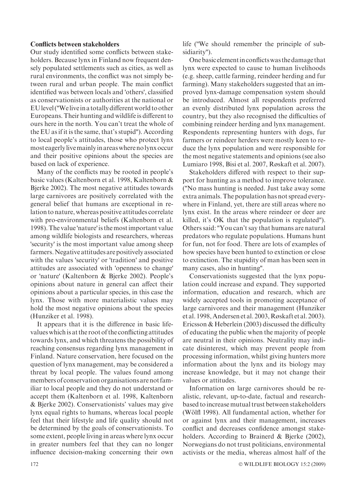#### Conflicts between stakeholders

Our study identified some conflicts between stakeholders. Because lynx in Finland now frequent densely populated settlements such as cities, as well as rural environments, the conflict was not simply between rural and urban people. The main conflict identified was between locals and 'others', classified as conservationists or authorities at the national or EUlevel (''Welivein a totally differentworld to other Europeans. Their hunting and wildlife is different to ours here in the north. You can't treat the whole of the EU as if it is the same, that's stupid''). According to local people's attitudes, those who protect lynx most eagerlylivemainlyin areaswhere nolynx occur and their positive opinions about the species are based on lack of experience.

Many of the conflicts may be rooted in people's basic values (Kaltenborn et al. 1998, Kaltenborn & Bjerke 2002). The most negative attitudes towards large carnivores are positively correlated with the general belief that humans are exceptional in relation to nature, whereas positive attitudes correlate with pro-environmental beliefs (Kaltenborn et al. 1998). The value 'nature' is the most important value among wildlife biologists and researchers, whereas 'security' is the most important value among sheep farmers.Negative attitudes are positively associated with the values 'security' or 'tradition' and positive attitudes are associated with 'openness to change' or 'nature' (Kaltenborn & Bjerke 2002). People's opinions about nature in general can affect their opinions about a particular species, in this case the lynx. Those with more materialistic values may hold the most negative opinions about the species (Hunziker et al. 1998).

It appears that it is the difference in basic lifevalues which is at the root of the conflicting attitudes towards lynx, and which threatens the possibility of reaching consensus regarding lynx management in Finland. Nature conservation, here focused on the question of lynx management, may be considered a threat by local people. The values found among members of conservation organisations are not familiar to local people and they do not understand or accept them (Kaltenborn et al. 1998, Kaltenborn & Bjerke 2002). Conservationists' values may give lynx equal rights to humans, whereas local people feel that their lifestyle and life quality should not be determined by the goals of conservationists. To some extent, people living in areas where lynx occur in greater numbers feel that they can no longer influence decision-making concerning their own

life (''We should remember the principle of subsidiarity'').

One basic elementin conflictswas the damage that lynx were expected to cause to human livelihoods (e.g. sheep, cattle farming, reindeer herding and fur farming). Many stakeholders suggested that an improved lynx-damage compensation system should be introduced. Almost all respondents preferred an evenly distributed lynx population across the country, but they also recognised the difficulties of combining reindeer herding and lynx management. Respondents representing hunters with dogs, fur farmers or reindeer herders were mostly keen to reduce the lynx population and were responsible for the most negative statements and opinions (see also Lumiaro 1998, Bisi et al. 2007, Røskaft et al. 2007).

Stakeholders differed with respect to their support for hunting as a method to improve tolerance. (''No mass hunting is needed. Just take away some extra animals. The population has not spread everywhere in Finland, yet, there are still areas where no lynx exist. In the areas where reindeer or deer are killed, it's OK that the population is regulated''). Others said: ''You can't say that humans are natural predators who regulate populations. Humans hunt for fun, not for food. There are lots of examples of how species have been hunted to extinction or close to extinction. The stupidity of man has been seen in many cases, also in hunting''.

Conservationists suggested that the lynx population could increase and expand. They supported information, education and research, which are widely accepted tools in promoting acceptance of large carnivores and their management (Hunziker et al. 1998, Andersen et al. 2003, Røskaft et al. 2003). Ericsson & Heberlein (2003) discussed the difficulty of educating the public when the majority of people are neutral in their opinions. Neutrality may indicate disinterest, which may prevent people from processing information, whilst giving hunters more information about the lynx and its biology may increase knowledge, but it may not change their values or attitudes.

Information on large carnivores should be realistic, relevant, up-to-date, factual and researchbased to increase mutual trust between stakeholders (Wölfl 1998). All fundamental action, whether for or against lynx and their management, increases conflict and decreases confidence amongst stakeholders. According to Brainerd & Bjerke (2002), Norwegians do not trust politicians, environmental activists or the media, whereas almost half of the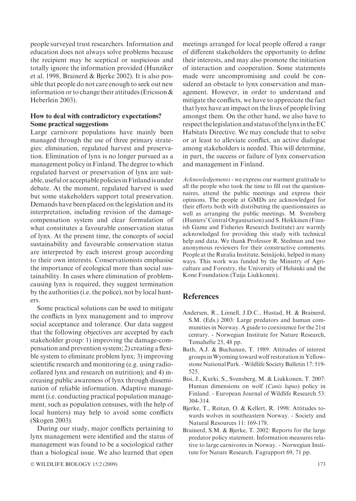people surveyed trust researchers. Information and education does not always solve problems because the recipient may be sceptical or suspicious and totally ignore the information provided (Hunziker et al. 1998, Brainerd & Bjerke 2002). It is also possible that people do not care enough to seek out new information or to change their attitudes (Ericsson & Heberlein 2003).

# How to deal with contradictory expectations? Some practical suggestions

Large carnivore populations have mainly been managed through the use of three primary strategies: elimination, regulated harvest and preservation. Elimination of lynx is no longer pursued as a management policy in Finland. The degree to which regulated harvest or preservation of lynx are suitable, useful or acceptable policies in Finland is under debate. At the moment, regulated harvest is used but some stakeholders support total preservation. Demands have been placed on the legislation and its interpretation, including revision of the damagecompensation system and clear formulation of what constitutes a favourable conservation status of lynx. At the present time, the concepts of social sustainability and favourable conservation status are interpreted by each interest group according to their own interests. Conservationists emphasise the importance of ecological more than social sustainability. In cases where elimination of problemcausing lynx is required, they suggest termination by the authorities (i.e. the police), not by local hunters.

Some practical solutions can be used to mitigate the conflicts in lynx management and to improve social acceptance and tolerance. Our data suggest that the following objectives are accepted by each stakeholder group: 1) improving the damage-compensation and prevention system; 2) creating a flexible system to eliminate problem lynx; 3) improving scientific research and monitoring (e.g. using radiocollared lynx and research on nutrition); and 4) increasing public awareness of lynx through dissemination of reliable information. Adaptive management (i.e. conducting practical population management, such as population censuses, with the help of local hunters) may help to avoid some conflicts (Skogen 2003).

During our study, major conflicts pertaining to lynx management were identified and the status of management was found to be a sociological rather than a biological issue. We also learned that open

© WILDLIFE BIOLOGY 15:2 (2009) 173

meetings arranged for local people offered a range of different stakeholders the opportunity to define their interests, and may also promote the initiation of interaction and cooperation. Some statements made were uncompromising and could be considered an obstacle to lynx conservation and management. However, in order to understand and mitigate the conflicts, we have to appreciate the fact that lynx have an impact on the lives of people living amongst them. On the other hand, we also have to respect thelegislation and statusof thelynxin theEC Habitats Directive. We may conclude that to solve or at least to alleviate conflict, an active dialogue among stakeholders is needed. This will determine, in part, the success or failure of lynx conservation and management in Finland.

Acknowledgements - we express our warmest gratitude to all the people who took the time to fill out the questionnaires, attend the public meetings and express their opinions. The people at GMDs are acknowledged for their efforts both with distributing the questionnaires as well as arranging the public meetings. M. Svensberg (Hunters' Central Organisation) and S. Heikkinen (Finnish Game and Fisheries Research Institute) are warmly acknowledged for providing this study with technical help and data. We thank Professor R. Stedman and two anonymous reviewers for their constructive comments. People at the Ruralia Institute, Seinäjoki, helped in many ways. This work was funded by the Ministry of Agriculture and Forestry, the University of Helsinki and the Kone Foundation (Tuija Liukkonen).

# **References**

- Andersen, R., Linnell, J.D.C., Hustad, H. & Brainerd, S.M. (Eds.) 2003: Large predators and human communities in Norway. A guide to coexistence for the 21st century. - Norwegian Institute for Nature Research, Temahefte 25, 48 pp.
- Bath, A.J. & Buchanan, T. 1989: Attitudes of interest groups inWyoming toward wolf restoration in Yellowstone National Park. -Wildlife Society Bulletin 17: 519- 525.
- Bisi, J., Kurki, S., Svensberg, M. & Liukkonen, T. 2007: Human dimensions on wolf (Canis lupus) policy in Finland. - European Journal of Wildlife Research 53: 304-314.
- Bjerke, T., Reitan, O. & Kellert, R. 1998: Attitudes towards wolves in southeastern Norway. - Society and Natural Resources 11: 169-178.
- Brainerd, S.M. & Bjerke, T. 2002: Reports for the large predator policy statement. Information measures relative to large carnivores in Norway. - Norwegian Institute for Nature Research. Fagrapport 69, 71 pp.